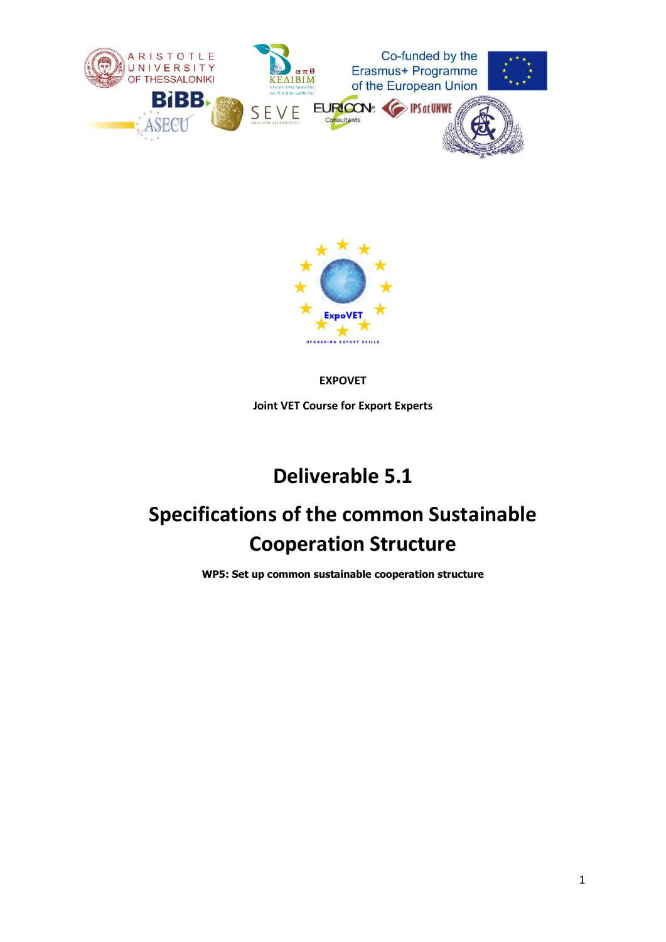



#### **EXPOVET**

**Joint VET Course for Export Experts**

## **Deliverable 5.1**

# **Specifications of the common Sustainable Cooperation Structure**

**WP5: Set up common sustainable cooperation structure**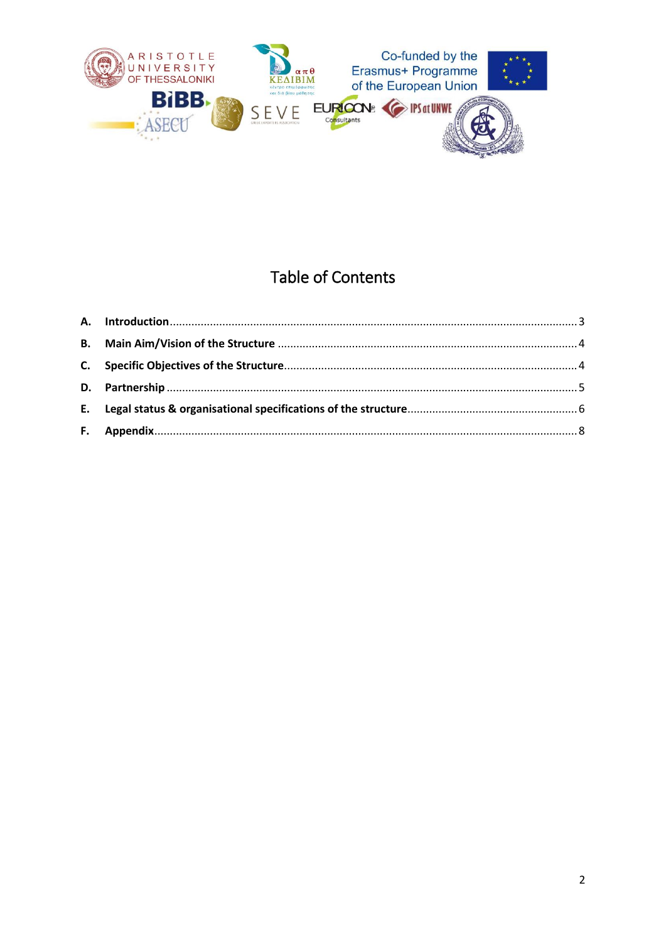

## **Table of Contents**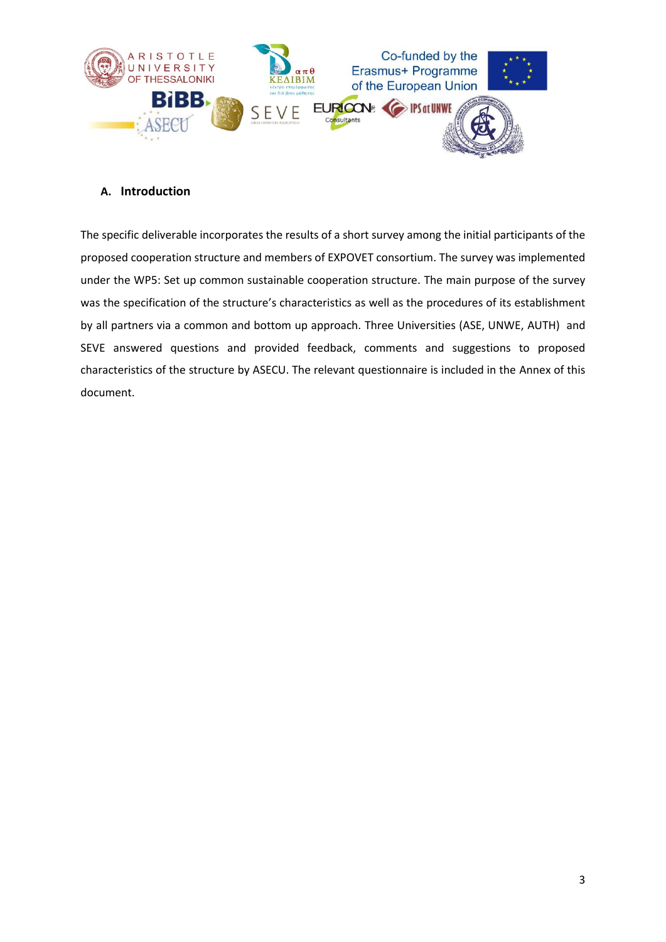

#### <span id="page-2-0"></span>**A. Introduction**

The specific deliverable incorporates the results of a short survey among the initial participants of the proposed cooperation structure and members of EXPOVET consortium. The survey was implemented under the WP5: Set up common sustainable cooperation structure. The main purpose of the survey was the specification of the structure's characteristics as well as the procedures of its establishment by all partners via a common and bottom up approach. Three Universities (ASE, UNWE, AUTH) and SEVE answered questions and provided feedback, comments and suggestions to proposed characteristics of the structure by ASECU. The relevant questionnaire is included in the Annex of this document.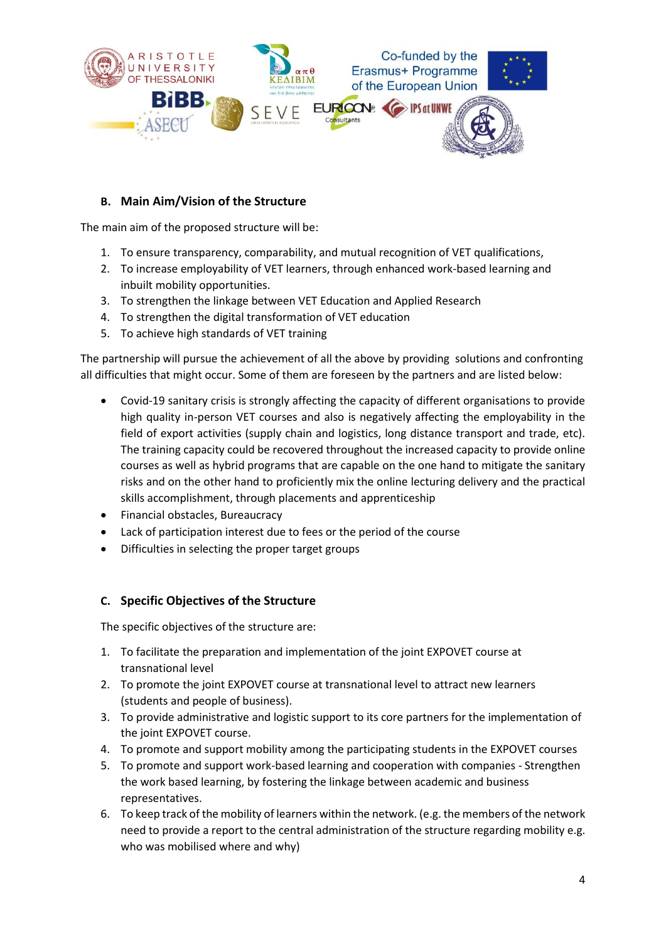

#### <span id="page-3-0"></span>**B. Main Aim/Vision of the Structure**

The main aim of the proposed structure will be:

- 1. To ensure transparency, comparability, and mutual recognition of VET qualifications,
- 2. To increase employability of VET learners, through enhanced work-based learning and inbuilt mobility opportunities.
- 3. To strengthen the linkage between VET Education and Applied Research
- 4. Το strengthen the digital transformation of VET education
- 5. To achieve high standards of VET training

The partnership will pursue the achievement of all the above by providing solutions and confronting all difficulties that might occur. Some of them are foreseen by the partners and are listed below:

- Covid-19 sanitary crisis is strongly affecting the capacity of different organisations to provide high quality in-person VET courses and also is negatively affecting the employability in the field of export activities (supply chain and logistics, long distance transport and trade, etc). The training capacity could be recovered throughout the increased capacity to provide online courses as well as hybrid programs that are capable on the one hand to mitigate the sanitary risks and on the other hand to proficiently mix the online lecturing delivery and the practical skills accomplishment, through placements and apprenticeship
- Financial obstacles, Bureaucracy
- Lack of participation interest due to fees or the period of the course
- Difficulties in selecting the proper target groups

#### <span id="page-3-1"></span>**C. Specific Objectives of the Structure**

The specific objectives of the structure are:

- 1. To facilitate the preparation and implementation of the joint EXPOVET course at transnational level
- 2. To promote the joint EXPOVET course at transnational level to attract new learners (students and people of business).
- 3. To provide administrative and logistic support to its core partners for the implementation of the joint EXPOVET course.
- 4. To promote and support mobility among the participating students in the EXPOVET courses
- 5. To promote and support work-based learning and cooperation with companies Strengthen the work based learning, by fostering the linkage between academic and business representatives.
- 6. To keep track of the mobility of learners within the network. (e.g. the members of the network need to provide a report to the central administration of the structure regarding mobility e.g. who was mobilised where and why)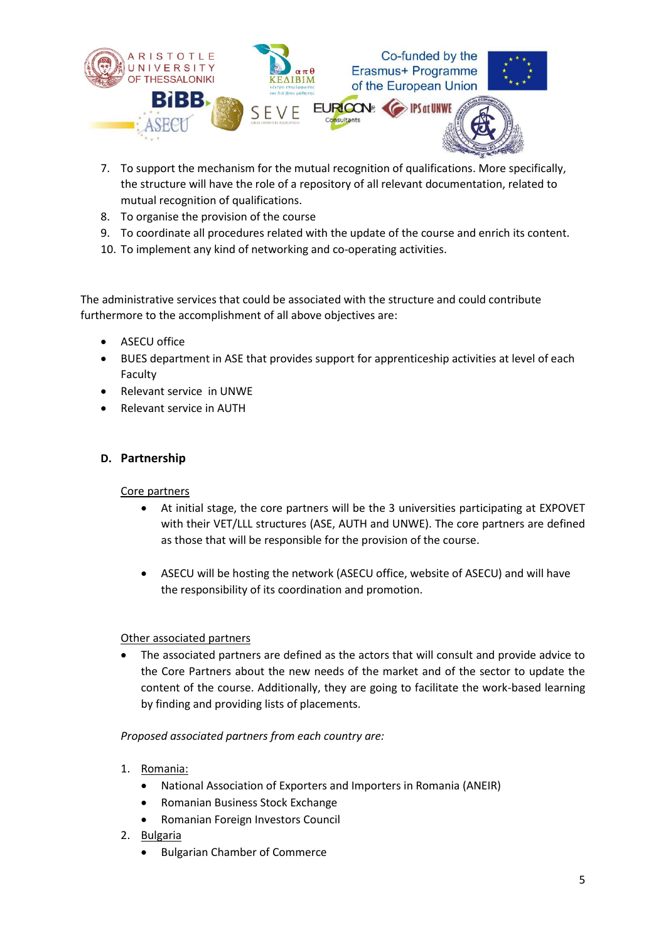

- 7. To support the mechanism for the mutual recognition of qualifications. More specifically, the structure will have the role of a repository of all relevant documentation, related to mutual recognition of qualifications.
- 8. To organise the provision of the course
- 9. To coordinate all procedures related with the update of the course and enrich its content.
- 10. To implement any kind of networking and co-operating activities.

The administrative services that could be associated with the structure and could contribute furthermore to the accomplishment of all above objectives are:

- ASECU office
- BUES department in ASE that provides support for apprenticeship activities at level of each Faculty
- Relevant service in UNWE
- Relevant service in AUTH

#### <span id="page-4-0"></span>**D. Partnership**

#### Core partners

- At initial stage, the core partners will be the 3 universities participating at EXPOVET with their VET/LLL structures (ASE, AUTH and UNWE). The core partners are defined as those that will be responsible for the provision of the course.
- ASECU will be hosting the network (ASECU office, website of ASECU) and will have the responsibility of its coordination and promotion.

#### Other associated partners

 The associated partners are defined as the actors that will consult and provide advice to the Core Partners about the new needs of the market and of the sector to update the content of the course. Additionally, they are going to facilitate the work-based learning by finding and providing lists of placements.

#### *Proposed associated partners from each country are:*

- 1. Romania:
	- National Association of Exporters and Importers in Romania (ANEIR)
	- Romanian Business Stock Exchange
	- Romanian Foreign Investors Council
- 2. Bulgaria
	- Bulgarian Chamber of Commerce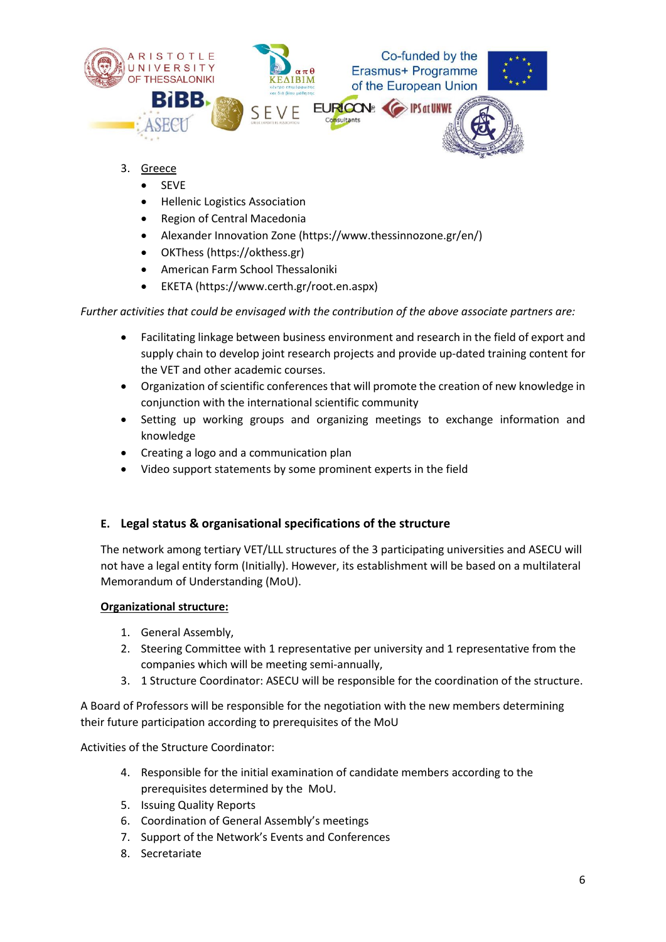

- 3. Greece
	- SEVE
	- Hellenic Logistics Association
	- Region of Central Macedonia
	- Alexander Innovation Zone (https://www.thessinnozone.gr/en/)
	- OKThess (https://okthess.gr)
	- American Farm School Thessaloniki
	- EKETA (https://www.certh.gr/root.en.aspx)

*Further activities that could be envisaged with the contribution of the above associate partners are:* 

- Facilitating linkage between business environment and research in the field of export and supply chain to develop joint research projects and provide up-dated training content for the VET and other academic courses.
- Organization of scientific conferences that will promote the creation of new knowledge in conjunction with the international scientific community
- Setting up working groups and organizing meetings to exchange information and knowledge
- Creating a logo and a communication plan
- Video support statements by some prominent experts in the field

#### <span id="page-5-0"></span>**E. Legal status & organisational specifications of the structure**

The network among tertiary VET/LLL structures of the 3 participating universities and ASECU will not have a legal entity form (Initially). However, its establishment will be based on a multilateral Memorandum of Understanding (MoU).

#### **Organizational structure:**

- 1. General Assembly,
- 2. Steering Committee with 1 representative per university and 1 representative from the companies which will be meeting semi-annually,
- 3. 1 Structure Coordinator: ASECU will be responsible for the coordination of the structure.

A Board of Professors will be responsible for the negotiation with the new members determining their future participation according to prerequisites of the MoU

Activities of the Structure Coordinator:

- 4. Responsible for the initial examination of candidate members according to the prerequisites determined by the MoU.
- 5. Issuing Quality Reports
- 6. Coordination of General Assembly's meetings
- 7. Support of the Network's Events and Conferences
- 8. Secretariate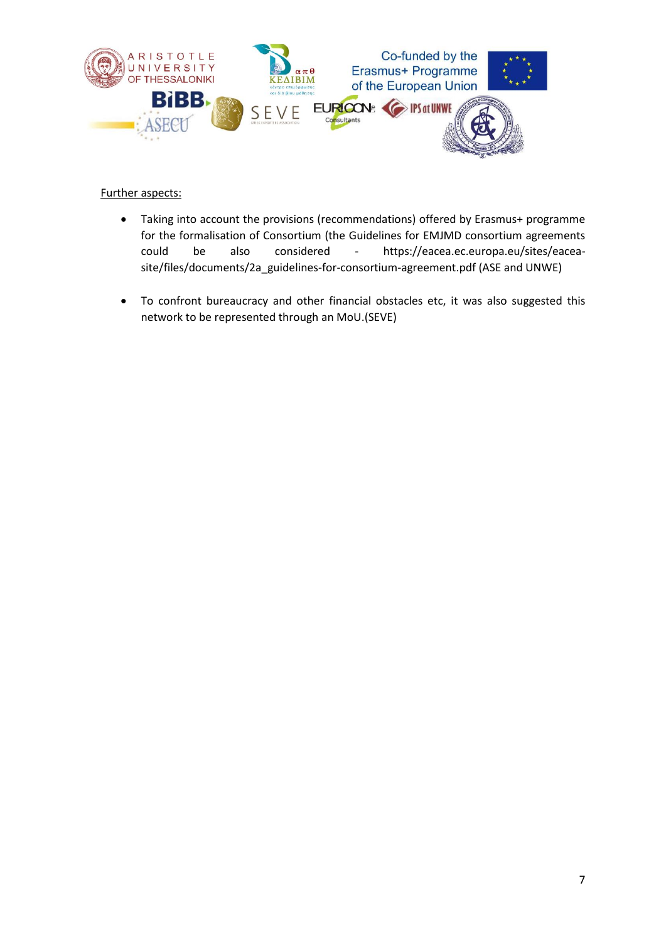

#### Further aspects:

- Taking into account the provisions (recommendations) offered by Erasmus+ programme for the formalisation of Consortium (the Guidelines for EMJMD consortium agreements could be also considered - [https://eacea.ec.europa.eu/sites/eacea](https://eacea.ec.europa.eu/sites/eacea-site/files/documents/2a_guidelines-for-consortium-agreement.pdf)[site/files/documents/2a\\_guidelines-for-consortium-agreement.pdf](https://eacea.ec.europa.eu/sites/eacea-site/files/documents/2a_guidelines-for-consortium-agreement.pdf) (ASE and UNWE)
- Το confront bureaucracy and other financial obstacles etc, it was also suggested this network to be represented through an MoU.(SEVE)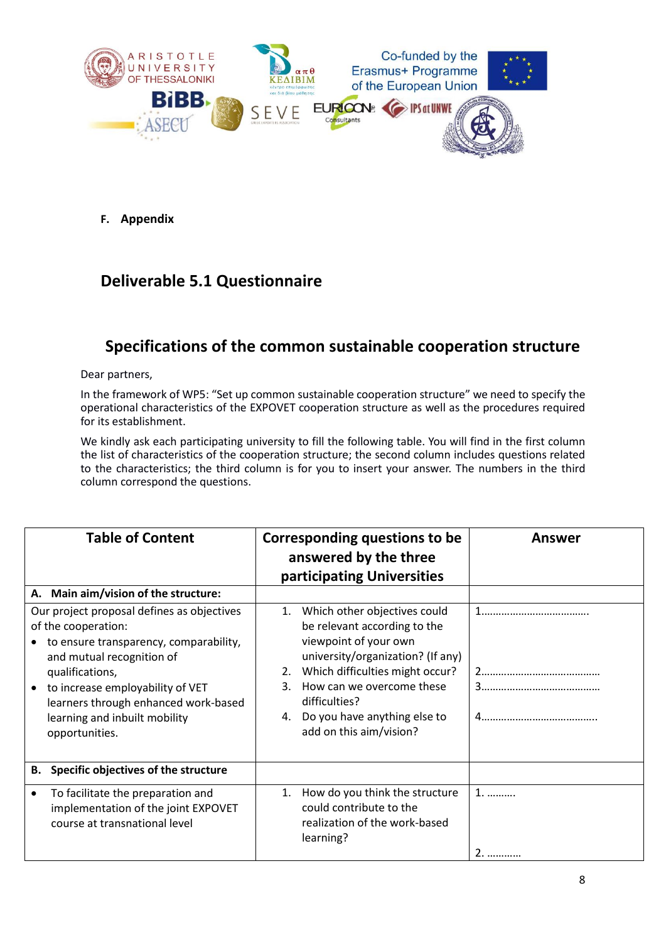

<span id="page-7-0"></span>**F. Appendix** 

### **Deliverable 5.1 Questionnaire**

### **Specifications of the common sustainable cooperation structure**

Dear partners,

In the framework of WP5: "Set up common sustainable cooperation structure" we need to specify the operational characteristics of the EXPOVET cooperation structure as well as the procedures required for its establishment.

We kindly ask each participating university to fill the following table. You will find in the first column the list of characteristics of the cooperation structure; the second column includes questions related to the characteristics; the third column is for you to insert your answer. The numbers in the third column correspond the questions.

| <b>Table of Content</b>                                                                                                                                                                                                                                                                                                            | <b>Corresponding questions to be</b><br>answered by the three<br>participating Universities                                                                                                                                                                                                    | <b>Answer</b> |
|------------------------------------------------------------------------------------------------------------------------------------------------------------------------------------------------------------------------------------------------------------------------------------------------------------------------------------|------------------------------------------------------------------------------------------------------------------------------------------------------------------------------------------------------------------------------------------------------------------------------------------------|---------------|
| A. Main aim/vision of the structure:<br>Our project proposal defines as objectives<br>of the cooperation:<br>to ensure transparency, comparability,<br>and mutual recognition of<br>qualifications,<br>to increase employability of VET<br>learners through enhanced work-based<br>learning and inbuilt mobility<br>opportunities. | 1.<br>Which other objectives could<br>be relevant according to the<br>viewpoint of your own<br>university/organization? (If any)<br>Which difficulties might occur?<br>2.<br>How can we overcome these<br>3.<br>difficulties?<br>Do you have anything else to<br>4.<br>add on this aim/vision? |               |
| Specific objectives of the structure<br>В.                                                                                                                                                                                                                                                                                         |                                                                                                                                                                                                                                                                                                |               |
| To facilitate the preparation and<br>implementation of the joint EXPOVET<br>course at transnational level                                                                                                                                                                                                                          | 1.<br>How do you think the structure<br>could contribute to the<br>realization of the work-based<br>learning?                                                                                                                                                                                  | $1.$<br>      |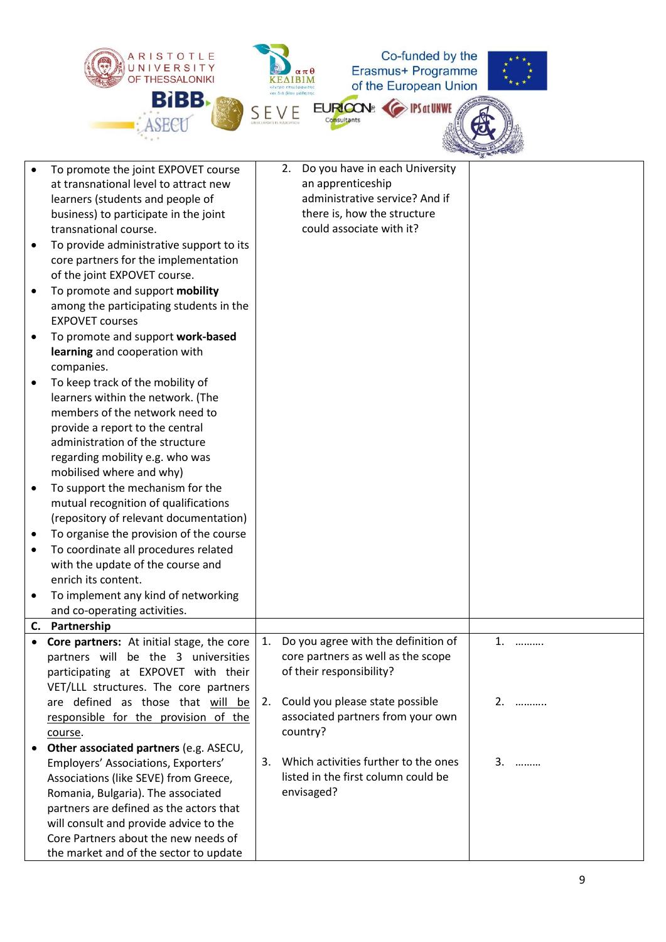

|    | To promote the joint EXPOVET course                                       |    | 2. | Do you have in each University       |    |    |
|----|---------------------------------------------------------------------------|----|----|--------------------------------------|----|----|
|    | at transnational level to attract new                                     |    |    | an apprenticeship                    |    |    |
|    | learners (students and people of                                          |    |    | administrative service? And if       |    |    |
|    | business) to participate in the joint                                     |    |    | there is, how the structure          |    |    |
|    | transnational course.                                                     |    |    | could associate with it?             |    |    |
|    | To provide administrative support to its                                  |    |    |                                      |    |    |
|    | core partners for the implementation                                      |    |    |                                      |    |    |
|    | of the joint EXPOVET course.                                              |    |    |                                      |    |    |
|    | To promote and support mobility                                           |    |    |                                      |    |    |
|    | among the participating students in the                                   |    |    |                                      |    |    |
|    | <b>EXPOVET courses</b>                                                    |    |    |                                      |    |    |
|    | To promote and support work-based                                         |    |    |                                      |    |    |
|    | learning and cooperation with                                             |    |    |                                      |    |    |
|    | companies.                                                                |    |    |                                      |    |    |
|    | To keep track of the mobility of                                          |    |    |                                      |    |    |
|    | learners within the network. (The                                         |    |    |                                      |    |    |
|    | members of the network need to                                            |    |    |                                      |    |    |
|    | provide a report to the central                                           |    |    |                                      |    |    |
|    | administration of the structure                                           |    |    |                                      |    |    |
|    | regarding mobility e.g. who was                                           |    |    |                                      |    |    |
|    | mobilised where and why)                                                  |    |    |                                      |    |    |
| ٠  | To support the mechanism for the                                          |    |    |                                      |    |    |
|    | mutual recognition of qualifications                                      |    |    |                                      |    |    |
|    | (repository of relevant documentation)                                    |    |    |                                      |    |    |
|    | To organise the provision of the course                                   |    |    |                                      |    |    |
| ٠  | To coordinate all procedures related<br>with the update of the course and |    |    |                                      |    |    |
|    | enrich its content.                                                       |    |    |                                      |    |    |
| ٠  | To implement any kind of networking                                       |    |    |                                      |    |    |
|    | and co-operating activities.                                              |    |    |                                      |    |    |
| C. | Partnership                                                               |    |    |                                      |    |    |
|    | Core partners: At initial stage, the core                                 | 1. |    | Do you agree with the definition of  | 1. | .  |
|    | partners will be the 3 universities                                       |    |    | core partners as well as the scope   |    |    |
|    | participating at EXPOVET with their                                       |    |    | of their responsibility?             |    |    |
|    | VET/LLL structures. The core partners                                     |    |    |                                      |    |    |
|    | are defined as those that will be                                         | 2. |    | Could you please state possible      |    | 2. |
|    | responsible for the provision of the                                      |    |    | associated partners from your own    |    |    |
|    | course.                                                                   |    |    | country?                             |    |    |
|    | Other associated partners (e.g. ASECU,                                    |    |    |                                      |    |    |
|    | Employers' Associations, Exporters'                                       | 3. |    | Which activities further to the ones |    | 3. |
|    | Associations (like SEVE) from Greece,                                     |    |    | listed in the first column could be  |    |    |
|    | Romania, Bulgaria). The associated                                        |    |    | envisaged?                           |    |    |
|    | partners are defined as the actors that                                   |    |    |                                      |    |    |
|    | will consult and provide advice to the                                    |    |    |                                      |    |    |
|    | Core Partners about the new needs of                                      |    |    |                                      |    |    |
|    | the market and of the sector to update                                    |    |    |                                      |    |    |